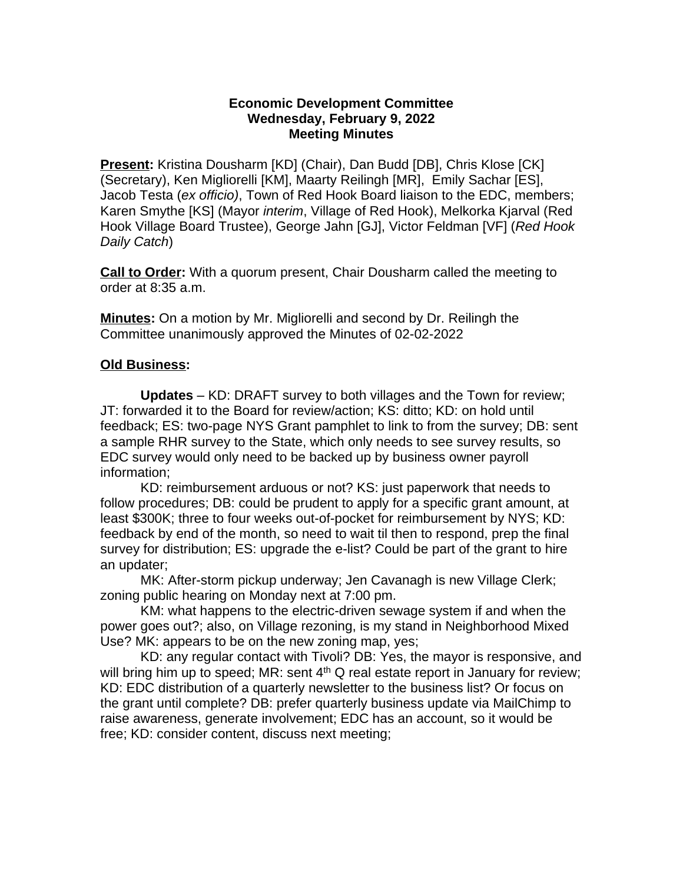## **Economic Development Committee Wednesday, February 9, 2022 Meeting Minutes**

**Present:** Kristina Dousharm [KD] (Chair), Dan Budd [DB], Chris Klose [CK] (Secretary), Ken Migliorelli [KM], Maarty Reilingh [MR], Emily Sachar [ES], Jacob Testa (*ex officio)*, Town of Red Hook Board liaison to the EDC, members; Karen Smythe [KS] (Mayor *interim*, Village of Red Hook), Melkorka Kjarval (Red Hook Village Board Trustee), George Jahn [GJ], Victor Feldman [VF] (*Red Hook Daily Catch*)

**Call to Order:** With a quorum present, Chair Dousharm called the meeting to order at 8:35 a.m.

**Minutes:** On a motion by Mr. Migliorelli and second by Dr. Reilingh the Committee unanimously approved the Minutes of 02-02-2022

## **Old Business:**

**Updates** – KD: DRAFT survey to both villages and the Town for review; JT: forwarded it to the Board for review/action; KS: ditto; KD: on hold until feedback; ES: two-page NYS Grant pamphlet to link to from the survey; DB: sent a sample RHR survey to the State, which only needs to see survey results, so EDC survey would only need to be backed up by business owner payroll information;

KD: reimbursement arduous or not? KS: just paperwork that needs to follow procedures; DB: could be prudent to apply for a specific grant amount, at least \$300K; three to four weeks out-of-pocket for reimbursement by NYS; KD: feedback by end of the month, so need to wait til then to respond, prep the final survey for distribution; ES: upgrade the e-list? Could be part of the grant to hire an updater;

MK: After-storm pickup underway; Jen Cavanagh is new Village Clerk; zoning public hearing on Monday next at 7:00 pm.

KM: what happens to the electric-driven sewage system if and when the power goes out?; also, on Village rezoning, is my stand in Neighborhood Mixed Use? MK: appears to be on the new zoning map, yes;

KD: any regular contact with Tivoli? DB: Yes, the mayor is responsive, and will bring him up to speed; MR: sent  $4<sup>th</sup>$  Q real estate report in January for review; KD: EDC distribution of a quarterly newsletter to the business list? Or focus on the grant until complete? DB: prefer quarterly business update via MailChimp to raise awareness, generate involvement; EDC has an account, so it would be free; KD: consider content, discuss next meeting;